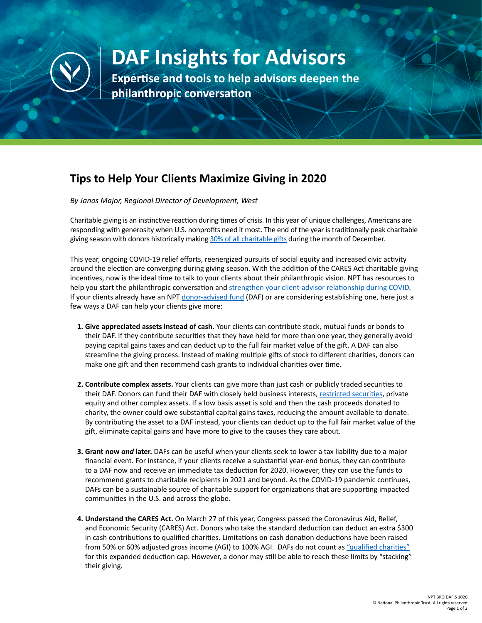

## **DAF Insights for Advisors**

**Expertise and tools to help advisors deepen the philanthropic conversation**

## **Tips to Help Your Clients Maximize Giving in 2020**

*By Janos Major, Regional Director of Development, West*

Charitable giving is an instinctive reaction during times of crisis. In this year of unique challenges, Americans are responding with generosity when U.S. nonprofits need it most. The end of the year is traditionally peak charitable giving season with donors historically making [30% of all charitable gifts](https://nonprofitssource.com/online-giving-statistics/) during the month of December.

This year, ongoing COVID-19 relief efforts, reenergized pursuits of social equity and increased civic activity around the election are converging during giving season. With the addition of the CARES Act charitable giving incentives, now is the ideal time to talk to your clients about their philanthropic vision. NPT has resources to help you start the philanthropic conversation and [strengthen your client-advisor relationship during COVID.](https://www.nptrust.org/philanthropic-resources/philanthropist/strengthening-your-connections-with-clients-during-the-covid-19-pandemic/) If your clients already have an NPT [donor-advised fund](https://www.nptrust.org/donor-advised-funds/daf-vs-foundation/) (DAF) or are considering establishing one, here just a few ways a DAF can help your clients give more:

- **1. Give appreciated assets instead of cash.** Your clients can contribute stock, mutual funds or bonds to their DAF. If they contribute securities that they have held for more than one year, they generally avoid paying capital gains taxes and can deduct up to the full fair market value of the gift. A DAF can also streamline the giving process. Instead of making multiple gifts of stock to different charities, donors can make one gift and then recommend cash grants to individual charities over time.
- **2. Contribute complex assets.** Your clients can give more than just cash or publicly traded securities to their DAF. Donors can fund their DAF with closely held business interests, [restricted securities,](https://www.nptrust.org/philanthropic-resources/philanthropist/three-things-executives-should-know-about-donating-restricted-or-control-stock-to-charity/) private equity and other complex assets. If a low basis asset is sold and then the cash proceeds donated to charity, the owner could owe substantial capital gains taxes, reducing the amount available to donate. By contributing the asset to a DAF instead, your clients can deduct up to the full fair market value of the gift, eliminate capital gains and have more to give to the causes they care about.
- **3. Grant now** *and* **later.** DAFs can be useful when your clients seek to lower a tax liability due to a major financial event. For instance, if your clients receive a substantial year-end bonus, they can contribute to a DAF now and receive an immediate tax deduction for 2020. However, they can use the funds to recommend grants to charitable recipients in 2021 and beyond. As the COVID-19 pandemic continues, DAFs can be a sustainable source of charitable support for organizations that are supporting impacted communities in the U.S. and across the globe.
- **4. Understand the CARES Act.** On March 27 of this year, Congress passed the Coronavirus Aid, Relief, and Economic Security (CARES) Act. Donors who take the standard deduction can deduct an extra \$300 in cash contributions to qualified charities. Limitations on cash donation deductions have been raised from 50% or 60% adjusted gross income (AGI) to 100% AGI. DAFs do not count as ["qualified charities"](https://www.nptrust.org/philanthropic-resources/philanthropist/what-the-cares-act-means-for-your-philanthropic-clients/) for this expanded deduction cap. However, a donor may still be able to reach these limits by "stacking" their giving.